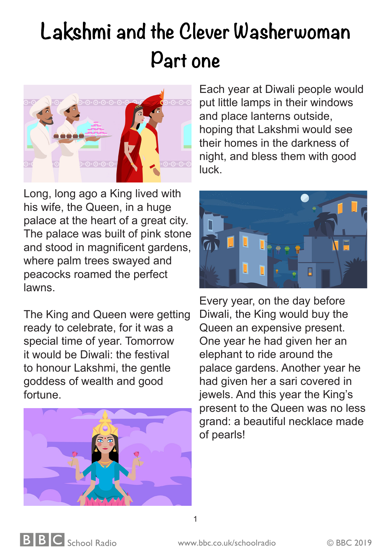## Lakshmi and the Clever Washerwoman Part one



Long, long ago a King lived with his wife, the Queen, in a huge palace at the heart of a great city. The palace was built of pink stone and stood in magnificent gardens, where palm trees swayed and peacocks roamed the perfect lawns.

The King and Queen were getting ready to celebrate, for it was a special time of year. Tomorrow it would be Diwali: the festival to honour Lakshmi, the gentle goddess of wealth and good fortune.



Each year at Diwali people would put little lamps in their windows and place lanterns outside, hoping that Lakshmi would see their homes in the darkness of night, and bless them with good luck.



Every year, on the day before Diwali, the King would buy the Queen an expensive present. One year he had given her an elephant to ride around the palace gardens. Another year he had given her a sari covered in jewels. And this year the King's present to the Queen was no less grand: a beautiful necklace made of pearls!



1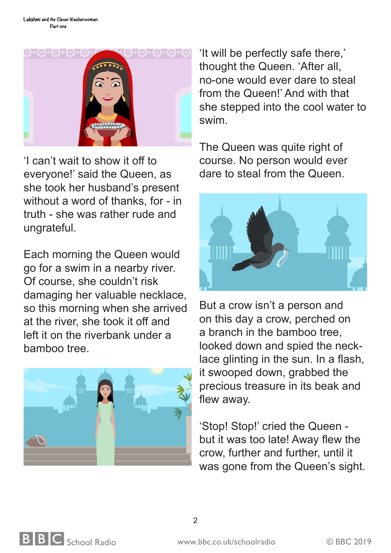

'I can't wait to show it off to everyone!' said the Queen, as she took her husband's present without a word of thanks, for - in truth - she was rather rude and ungrateful.

Each morning the Queen would go for a swim in a nearby river. Of course, she couldn't risk damaging her valuable necklace, so this morning when she arrived at the river, she took it off and left it on the riverbank under a bamboo tree.



'It will be perfectly safe there,' thought the Queen. 'After all, no-one would ever dare to steal from the Queen!' And with that she stepped into the cool water to swim.

The Queen was quite right of course. No person would ever dare to steal from the Queen.



But a crow isn't a person and on this day a crow, perched on a branch in the bamboo tree, looked down and spied the necklace glinting in the sun. In a flash, it swooped down, grabbed the precious treasure in its beak and flew away.

'Stop! Stop!' cried the Queen but it was too late! Away flew the crow, further and further, until it was gone from the Queen's sight.



2